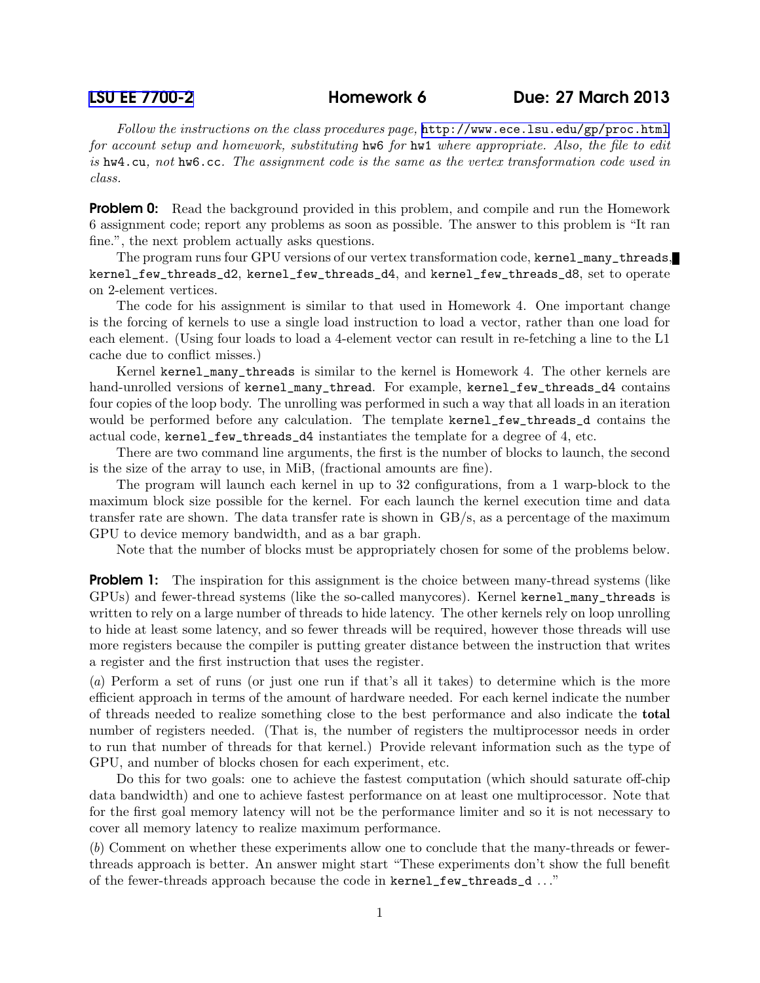Follow the instructions on the class procedures page, <http://www.ece.lsu.edu/gp/proc.html> for account setup and homework, substituting hw6 for hw1 where appropriate. Also, the file to edit is hw4.cu, not hw6.cc. The assignment code is the same as the vertex transformation code used in class.

**Problem 0:** Read the background provided in this problem, and compile and run the Homework 6 assignment code; report any problems as soon as possible. The answer to this problem is "It ran fine.", the next problem actually asks questions.

The program runs four GPU versions of our vertex transformation code, kernel\_many\_threads, kernel\_few\_threads\_d2, kernel\_few\_threads\_d4, and kernel\_few\_threads\_d8, set to operate on 2-element vertices.

The code for his assignment is similar to that used in Homework 4. One important change is the forcing of kernels to use a single load instruction to load a vector, rather than one load for each element. (Using four loads to load a 4-element vector can result in re-fetching a line to the L1 cache due to conflict misses.)

Kernel kernel\_many\_threads is similar to the kernel is Homework 4. The other kernels are hand-unrolled versions of kernel\_many\_thread. For example, kernel\_few\_threads\_d4 contains four copies of the loop body. The unrolling was performed in such a way that all loads in an iteration would be performed before any calculation. The template kernel\_few\_threads\_d contains the actual code, kernel\_few\_threads\_d4 instantiates the template for a degree of 4, etc.

There are two command line arguments, the first is the number of blocks to launch, the second is the size of the array to use, in MiB, (fractional amounts are fine).

The program will launch each kernel in up to 32 configurations, from a 1 warp-block to the maximum block size possible for the kernel. For each launch the kernel execution time and data transfer rate are shown. The data transfer rate is shown in GB/s, as a percentage of the maximum GPU to device memory bandwidth, and as a bar graph.

Note that the number of blocks must be appropriately chosen for some of the problems below.

**Problem 1:** The inspiration for this assignment is the choice between many-thread systems (like GPUs) and fewer-thread systems (like the so-called manycores). Kernel kernel\_many\_threads is written to rely on a large number of threads to hide latency. The other kernels rely on loop unrolling to hide at least some latency, and so fewer threads will be required, however those threads will use more registers because the compiler is putting greater distance between the instruction that writes a register and the first instruction that uses the register.

(a) Perform a set of runs (or just one run if that's all it takes) to determine which is the more efficient approach in terms of the amount of hardware needed. For each kernel indicate the number of threads needed to realize something close to the best performance and also indicate the total number of registers needed. (That is, the number of registers the multiprocessor needs in order to run that number of threads for that kernel.) Provide relevant information such as the type of GPU, and number of blocks chosen for each experiment, etc.

Do this for two goals: one to achieve the fastest computation (which should saturate off-chip data bandwidth) and one to achieve fastest performance on at least one multiprocessor. Note that for the first goal memory latency will not be the performance limiter and so it is not necessary to cover all memory latency to realize maximum performance.

(b) Comment on whether these experiments allow one to conclude that the many-threads or fewerthreads approach is better. An answer might start "These experiments don't show the full benefit of the fewer-threads approach because the code in kernel\_few\_threads\_d . . ."